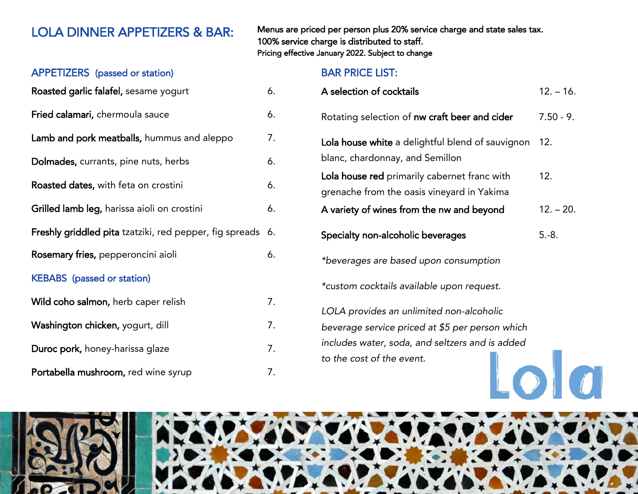APPETIZERS (passed or station)

| Roasted garlic falafel, sesame yogurt                   | 6. |
|---------------------------------------------------------|----|
| Fried calamari, chermoula sauce                         | 6. |
| Lamb and pork meatballs, hummus and aleppo              | 7. |
| Dolmades, currants, pine nuts, herbs                    | 6. |
| Roasted dates, with feta on crostini                    | 6. |
| Grilled lamb leg, harissa aioli on crostini             | 6. |
| Freshly griddled pita tzatziki, red pepper, fig spreads | 6. |
| Rosemary fries, pepperoncini aioli                      | 6. |
| <b>KEBABS</b> (passed or station)                       |    |
| Wild coho salmon, herb caper relish                     | 7. |
| Washington chicken, yogurt, dill                        | 7. |
| Duroc pork, honey-harissa glaze                         | 7. |
| Portabella mushroom, red wine syrup                     | 7. |

LOLA DINNER APPETIZERS & BAR: Menus are priced per person plus 20% service charge and state sales tax. 100% service charge is distributed to staff. Pricing effective January 2022. Subject to change

## BAR PRICE LIST:

| A selection of cocktails                                                                                                                                                    | $12. - 16.$ |
|-----------------------------------------------------------------------------------------------------------------------------------------------------------------------------|-------------|
| Rotating selection of nw craft beer and cider                                                                                                                               | $7.50 - 9.$ |
| Lola house white a delightful blend of sauvignon<br>blanc, chardonnay, and Semillon                                                                                         | 12.         |
| Lola house red primarily cabernet franc with<br>grenache from the oasis vineyard in Yakima                                                                                  | 12.         |
| A variety of wines from the nw and beyond                                                                                                                                   | $12. - 20.$ |
| Specialty non-alcoholic beverages                                                                                                                                           | $5.-8.$     |
| *beverages are based upon consumption                                                                                                                                       |             |
| *custom cocktails available upon request.                                                                                                                                   |             |
| LOLA provides an unlimited non-alcoholic<br>beverage service priced at \$5 per person which<br>includes water, soda, and seltzers and is added<br>to the cost of the event. |             |

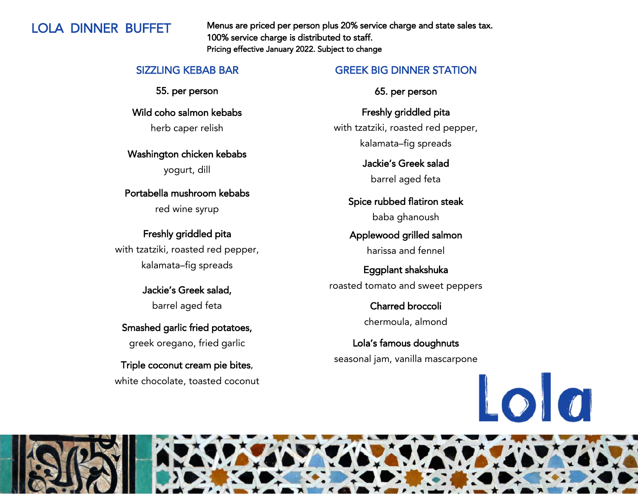LOLA DINNER BUFFET Menus are priced per person plus 20% service charge and state sales tax. 100% service charge is distributed to staff. Pricing effective January 2022. Subject to change

### SIZZLING KEBAB BAR

55. per person

Wild coho salmon kebabs herb caper relish

Washington chicken kebabs

yogurt, dill

Portabella mushroom kebabs

red wine syrup

Freshly griddled pita with tzatziki, roasted red pepper, kalamata–fig spreads

> Jackie's Greek salad, barrel aged feta

Smashed garlic fried potatoes, greek oregano, fried garlic

Triple coconut cream pie bites, white chocolate, toasted coconut

## GREEK BIG DINNER STATION

65. per person

Freshly griddled pita with tzatziki, roasted red pepper, kalamata–fig spreads

> Jackie's Greek salad barrel aged feta

Spice rubbed flatiron steak baba ghanoush

Applewood grilled salmon harissa and fennel

Eggplant shakshuka roasted tomato and sweet peppers

> Charred broccoli chermoula, almond

Lola's famous doughnuts seasonal jam, vanilla mascarpone



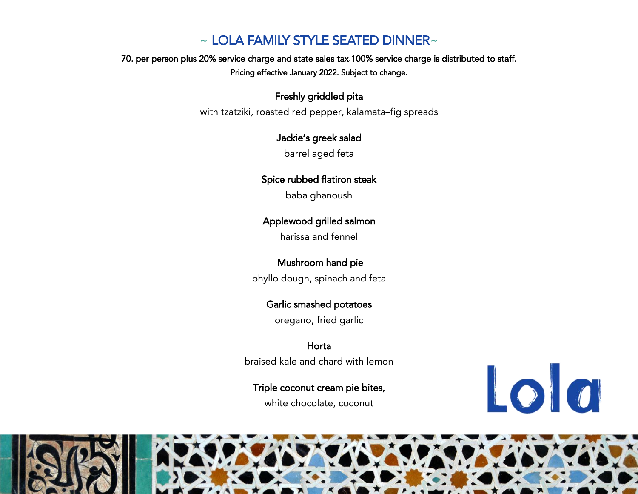# $\sim$  LOLA FAMILY STYLE SEATED DINNER $\sim$

70. per person plus 20% service charge and state sales tax.100% service charge is distributed to staff. Pricing effective January 2022. Subject to change.

## Freshly griddled pita

with tzatziki, roasted red pepper, kalamata–fig spreads

## Jackie's greek salad

barrel aged feta

## Spice rubbed flatiron steak

baba ghanoush

## Applewood grilled salmon

harissa and fennel

## Mushroom hand pie

phyllo dough, spinach and feta

## Garlic smashed potatoes

oregano, fried garlic

Horta braised kale and chard with lemon

### Triple coconut cream pie bites,

white chocolate, coconut



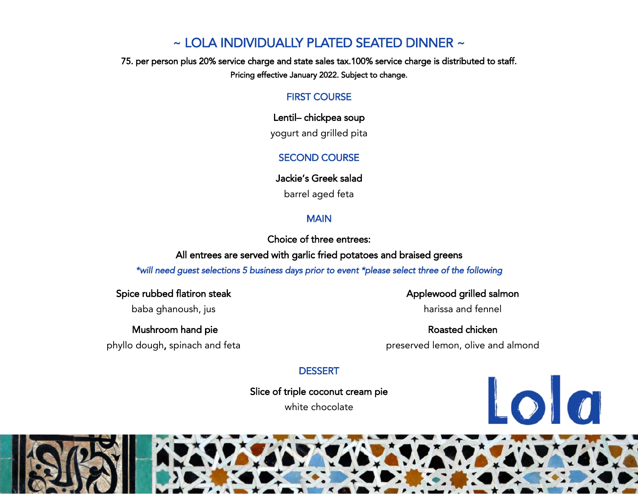# ~ LOLA INDIVIDUALLY PLATED SEATED DINNER ~

75. per person plus 20% service charge and state sales tax.100% service charge is distributed to staff. Pricing effective January 2022. Subject to change.

### FIRST COURSE

Lentil– chickpea soup

yogurt and grilled pita

## SECOND COURSE

Jackie's Greek salad

barrel aged feta

## MAIN

Choice of three entrees:

All entrees are served with garlic fried potatoes and braised greens

*\*will need guest selections 5 business days prior to event \*please select three of the following*

Spice rubbed flatiron steak

baba ghanoush, jus

 Mushroom hand pie phyllo dough, spinach and feta

## Applewood grilled salmon

harissa and fennel

Roasted chicken preserved lemon, olive and almond

Lola

## **DESSERT**

Slice of triple coconut cream pie

white chocolate